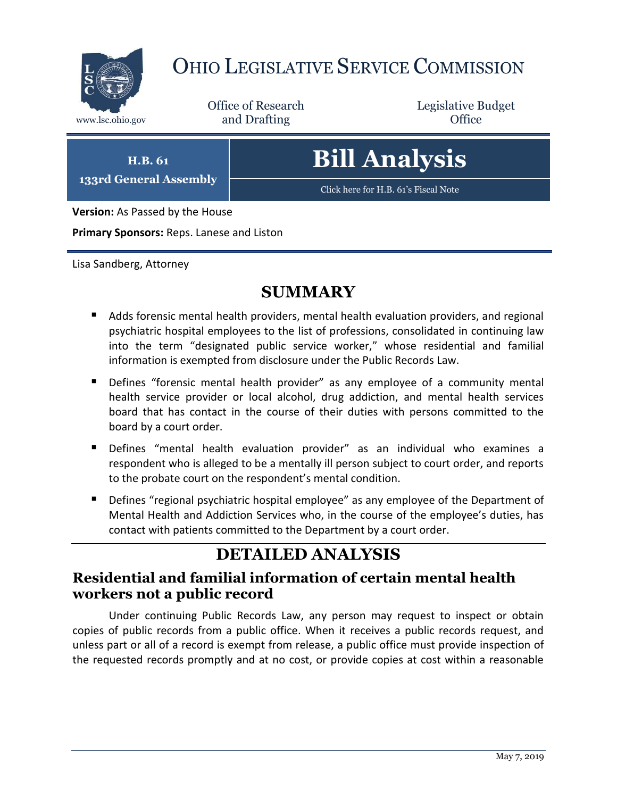

## OHIO LEGISLATIVE SERVICE COMMISSION

Office of Research www.lsc.ohio.gov and Drafting Control of Control of the Control of Control of the Control of Control of the Control of the Control of the Control of the Control of the Control of the Control of the Control of the Control o

Legislative Budget

**H.B. 61 133rd General Assembly**

# **Bill Analysis**

[Click here for H.B. 61](https://www.legislature.ohio.gov/legislation/legislation-documents?id=GA133-HB-61)'s Fiscal Note

**Version:** As Passed by the House

**Primary Sponsors:** Reps. Lanese and Liston

Lisa Sandberg, Attorney

### **SUMMARY**

- Adds forensic mental health providers, mental health evaluation providers, and regional psychiatric hospital employees to the list of professions, consolidated in continuing law into the term "designated public service worker," whose residential and familial information is exempted from disclosure under the Public Records Law.
- Defines "forensic mental health provider" as any employee of a community mental health service provider or local alcohol, drug addiction, and mental health services board that has contact in the course of their duties with persons committed to the board by a court order.
- Defines "mental health evaluation provider" as an individual who examines a respondent who is alleged to be a mentally ill person subject to court order, and reports to the probate court on the respondent's mental condition.
- **Defines "regional psychiatric hospital employee" as any employee of the Department of** Mental Health and Addiction Services who, in the course of the employee's duties, has contact with patients committed to the Department by a court order.

## **DETAILED ANALYSIS**

#### **Residential and familial information of certain mental health workers not a public record**

Under continuing Public Records Law, any person may request to inspect or obtain copies of public records from a public office. When it receives a public records request, and unless part or all of a record is exempt from release, a public office must provide inspection of the requested records promptly and at no cost, or provide copies at cost within a reasonable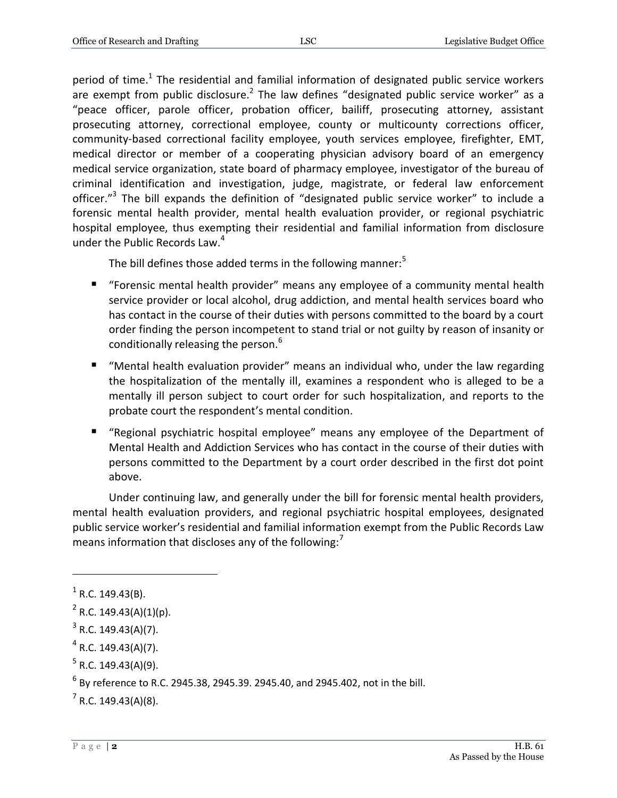period of time.<sup>1</sup> The residential and familial information of designated public service workers are exempt from public disclosure.<sup>2</sup> The law defines "designated public service worker" as a "peace officer, parole officer, probation officer, bailiff, prosecuting attorney, assistant prosecuting attorney, correctional employee, county or multicounty corrections officer, community-based correctional facility employee, youth services employee, firefighter, EMT, medical director or member of a cooperating physician advisory board of an emergency medical service organization, state board of pharmacy employee, investigator of the bureau of criminal identification and investigation, judge, magistrate, or federal law enforcement officer."<sup>3</sup> The bill expands the definition of "designated public service worker" to include a forensic mental health provider, mental health evaluation provider, or regional psychiatric hospital employee, thus exempting their residential and familial information from disclosure under the Public Records Law.<sup>4</sup>

The bill defines those added terms in the following manner: $5$ 

- "Forensic mental health provider" means any employee of a community mental health service provider or local alcohol, drug addiction, and mental health services board who has contact in the course of their duties with persons committed to the board by a court order finding the person incompetent to stand trial or not guilty by reason of insanity or conditionally releasing the person.<sup>6</sup>
- "Mental health evaluation provider" means an individual who, under the law regarding the hospitalization of the mentally ill, examines a respondent who is alleged to be a mentally ill person subject to court order for such hospitalization, and reports to the probate court the respondent's mental condition.
- "Regional psychiatric hospital employee" means any employee of the Department of Mental Health and Addiction Services who has contact in the course of their duties with persons committed to the Department by a court order described in the first dot point above.

Under continuing law, and generally under the bill for forensic mental health providers, mental health evaluation providers, and regional psychiatric hospital employees, designated public service worker's residential and familial information exempt from the Public Records Law means information that discloses any of the following: $<sup>7</sup>$ </sup>

 $\overline{a}$ 

 $7$  R.C. 149.43(A)(8).

 $<sup>1</sup>$  R.C. 149.43(B).</sup>

 $2$  R.C. 149.43(A)(1)(p).

 $3$  R.C. 149.43(A)(7).

 $4$  R.C. 149.43(A)(7).

 $5$  R.C. 149.43(A)(9).

 $^6$  By reference to R.C. 2945.38, 2945.39. 2945.40, and 2945.402, not in the bill.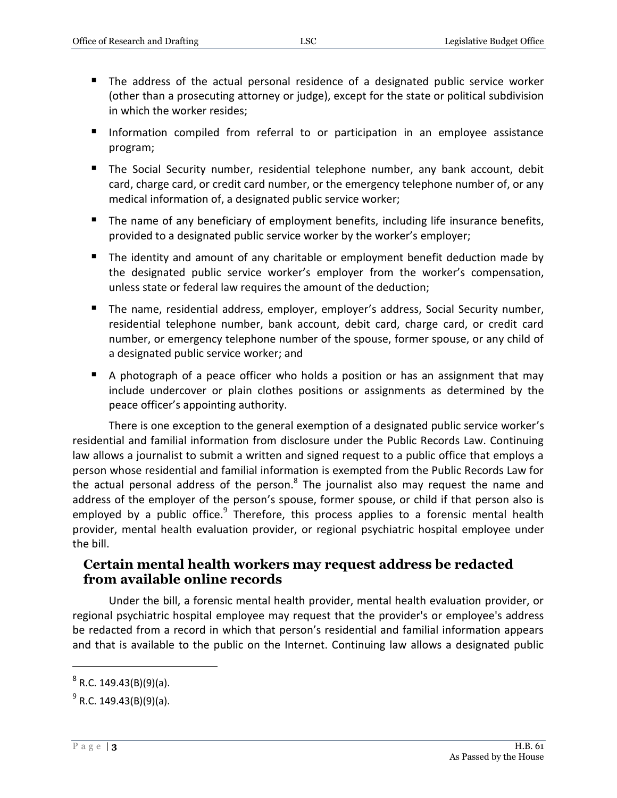- The address of the actual personal residence of a designated public service worker (other than a prosecuting attorney or judge), except for the state or political subdivision in which the worker resides;
- **Information compiled from referral to or participation in an employee assistance** program;
- The Social Security number, residential telephone number, any bank account, debit card, charge card, or credit card number, or the emergency telephone number of, or any medical information of, a designated public service worker;
- The name of any beneficiary of employment benefits, including life insurance benefits, provided to a designated public service worker by the worker's employer;
- The identity and amount of any charitable or employment benefit deduction made by the designated public service worker's employer from the worker's compensation, unless state or federal law requires the amount of the deduction;
- The name, residential address, employer, employer's address, Social Security number, residential telephone number, bank account, debit card, charge card, or credit card number, or emergency telephone number of the spouse, former spouse, or any child of a designated public service worker; and
- A photograph of a peace officer who holds a position or has an assignment that may include undercover or plain clothes positions or assignments as determined by the peace officer's appointing authority.

There is one exception to the general exemption of a designated public service worker's residential and familial information from disclosure under the Public Records Law. Continuing law allows a journalist to submit a written and signed request to a public office that employs a person whose residential and familial information is exempted from the Public Records Law for the actual personal address of the person.<sup>8</sup> The journalist also may request the name and address of the employer of the person's spouse, former spouse, or child if that person also is employed by a public office.<sup>9</sup> Therefore, this process applies to a forensic mental health provider, mental health evaluation provider, or regional psychiatric hospital employee under the bill.

#### **Certain mental health workers may request address be redacted from available online records**

Under the bill, a forensic mental health provider, mental health evaluation provider, or regional psychiatric hospital employee may request that the provider's or employee's address be redacted from a record in which that person's residential and familial information appears and that is available to the public on the Internet. Continuing law allows a designated public

 $\overline{a}$ 

 $^8$  R.C. 149.43(B)(9)(a).

<sup>&</sup>lt;sup>9</sup> R.C. 149.43(B)(9)(a).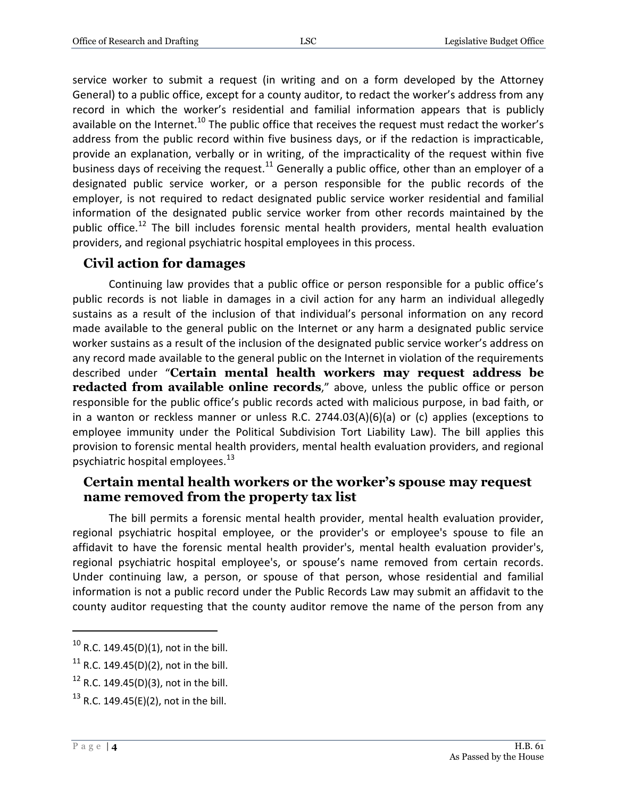service worker to submit a request (in writing and on a form developed by the Attorney General) to a public office, except for a county auditor, to redact the worker's address from any record in which the worker's residential and familial information appears that is publicly available on the Internet.<sup>10</sup> The public office that receives the request must redact the worker's address from the public record within five business days, or if the redaction is impracticable, provide an explanation, verbally or in writing, of the impracticality of the request within five business days of receiving the request.<sup>11</sup> Generally a public office, other than an employer of a designated public service worker, or a person responsible for the public records of the employer, is not required to redact designated public service worker residential and familial information of the designated public service worker from other records maintained by the public office.<sup>12</sup> The bill includes forensic mental health providers, mental health evaluation providers, and regional psychiatric hospital employees in this process.

#### **Civil action for damages**

Continuing law provides that a public office or person responsible for a public office's public records is not liable in damages in a civil action for any harm an individual allegedly sustains as a result of the inclusion of that individual's personal information on any record made available to the general public on the Internet or any harm a designated public service worker sustains as a result of the inclusion of the designated public service worker's address on any record made available to the general public on the Internet in violation of the requirements described under "**Certain mental health workers may request address be redacted from available online records**," above, unless the public office or person responsible for the public office's public records acted with malicious purpose, in bad faith, or in a wanton or reckless manner or unless R.C. 2744.03(A)(6)(a) or (c) applies (exceptions to employee immunity under the Political Subdivision Tort Liability Law). The bill applies this provision to forensic mental health providers, mental health evaluation providers, and regional psychiatric hospital employees.<sup>13</sup>

#### **Certain mental health workers or the worker's spouse may request name removed from the property tax list**

The bill permits a forensic mental health provider, mental health evaluation provider, regional psychiatric hospital employee, or the provider's or employee's spouse to file an affidavit to have the forensic mental health provider's, mental health evaluation provider's, regional psychiatric hospital employee's, or spouse's name removed from certain records. Under continuing law, a person, or spouse of that person, whose residential and familial information is not a public record under the Public Records Law may submit an affidavit to the county auditor requesting that the county auditor remove the name of the person from any

 $\overline{a}$ 

 $10$  R.C. 149.45(D)(1), not in the bill.

<sup>&</sup>lt;sup>11</sup> R.C. 149.45(D)(2), not in the bill.

 $12$  R.C. 149.45(D)(3), not in the bill.

<sup>&</sup>lt;sup>13</sup> R.C. 149.45(E)(2), not in the bill.